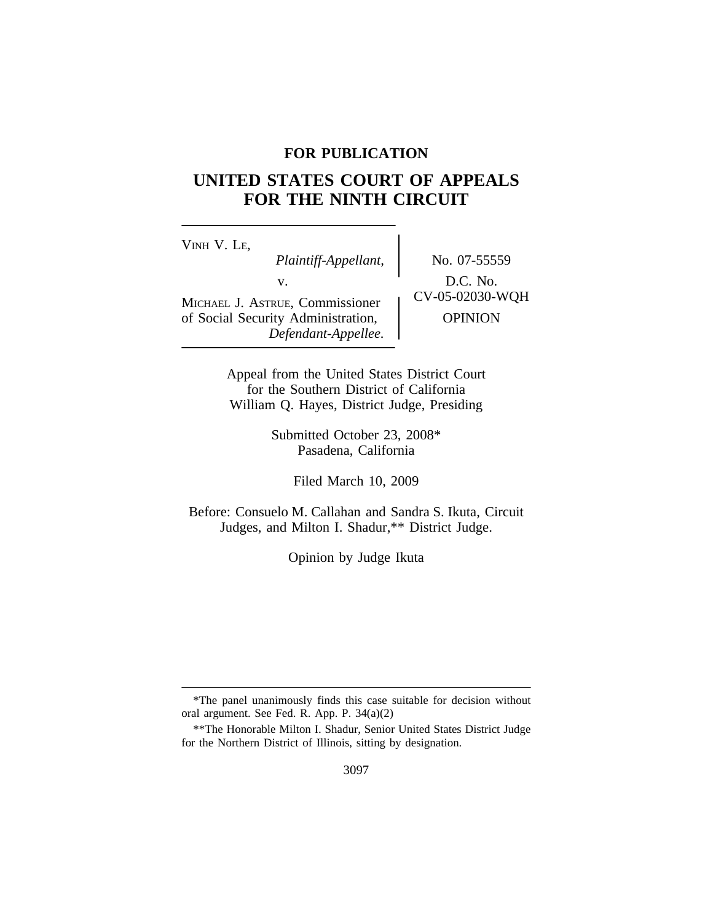## **FOR PUBLICATION**

# **UNITED STATES COURT OF APPEALS FOR THE NINTH CIRCUIT**

<sup>V</sup>INH V. LE, *Plaintiff-Appellant,* No. 07-55559 v.  $D.C. No.$ <br>  $UV-05-02030-WQH$ MICHAEL J. ASTRUE, Commissioner of Social Security Administration,  $\qquad$  OPINION *Defendant-Appellee.*

Appeal from the United States District Court for the Southern District of California William Q. Hayes, District Judge, Presiding

> Submitted October 23, 2008\* Pasadena, California

> > Filed March 10, 2009

Before: Consuelo M. Callahan and Sandra S. Ikuta, Circuit Judges, and Milton I. Shadur,\*\* District Judge.

Opinion by Judge Ikuta

<sup>\*</sup>The panel unanimously finds this case suitable for decision without oral argument. See Fed. R. App. P. 34(a)(2)

<sup>\*\*</sup>The Honorable Milton I. Shadur, Senior United States District Judge for the Northern District of Illinois, sitting by designation.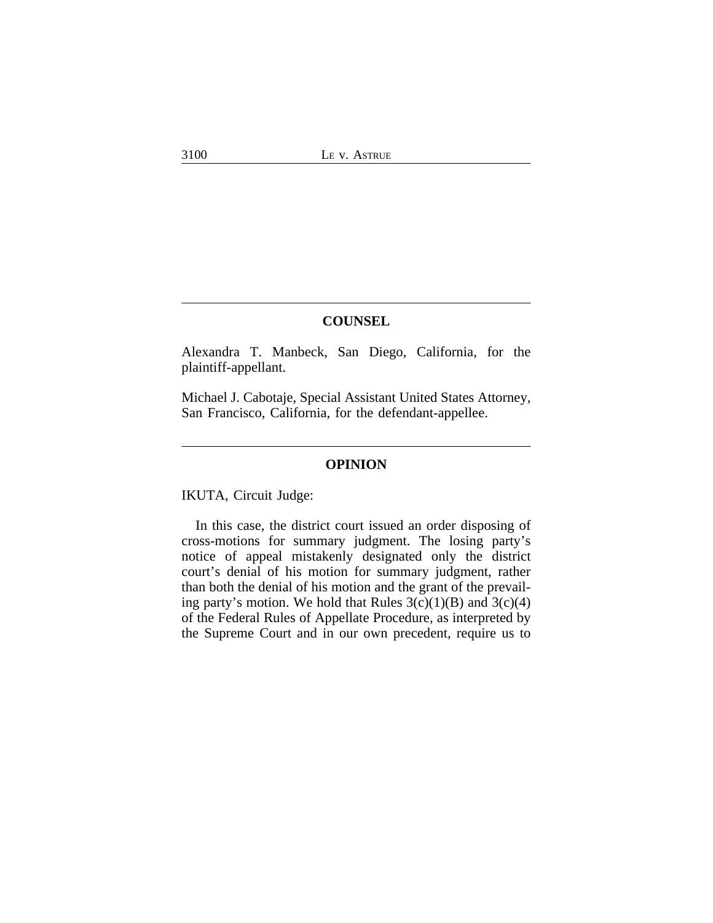## **COUNSEL**

Alexandra T. Manbeck, San Diego, California, for the plaintiff-appellant.

Michael J. Cabotaje, Special Assistant United States Attorney, San Francisco, California, for the defendant-appellee.

#### **OPINION**

IKUTA, Circuit Judge:

In this case, the district court issued an order disposing of cross-motions for summary judgment. The losing party's notice of appeal mistakenly designated only the district court's denial of his motion for summary judgment, rather than both the denial of his motion and the grant of the prevailing party's motion. We hold that Rules  $3(c)(1)(B)$  and  $3(c)(4)$ of the Federal Rules of Appellate Procedure, as interpreted by the Supreme Court and in our own precedent, require us to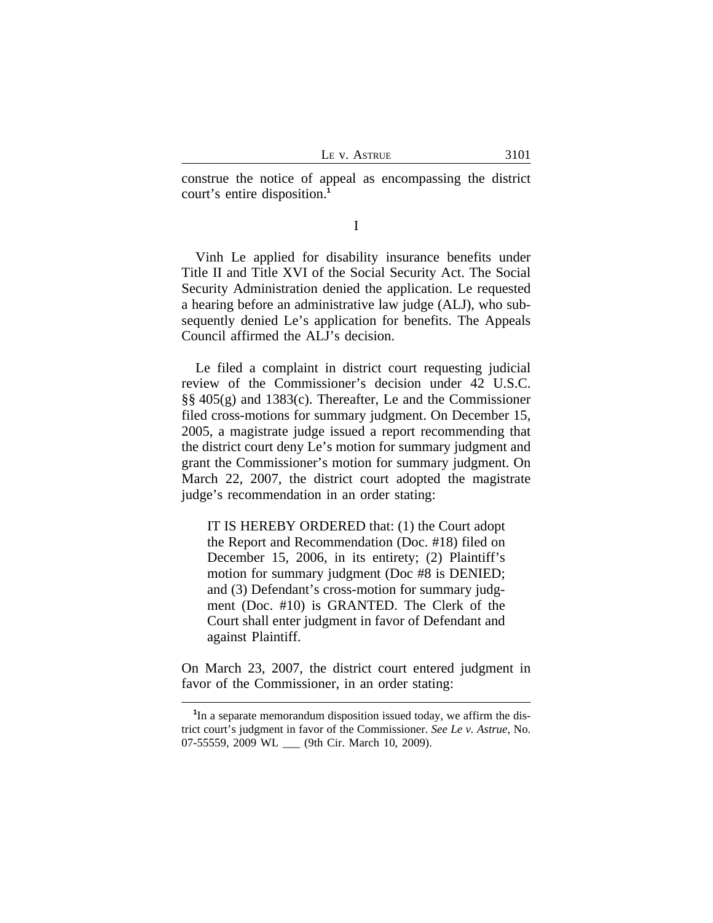construe the notice of appeal as encompassing the district court's entire disposition.**<sup>1</sup>**

I

Vinh Le applied for disability insurance benefits under Title II and Title XVI of the Social Security Act. The Social Security Administration denied the application. Le requested a hearing before an administrative law judge (ALJ), who subsequently denied Le's application for benefits. The Appeals Council affirmed the ALJ's decision.

Le filed a complaint in district court requesting judicial review of the Commissioner's decision under 42 U.S.C. §§ 405(g) and 1383(c). Thereafter, Le and the Commissioner filed cross-motions for summary judgment. On December 15, 2005, a magistrate judge issued a report recommending that the district court deny Le's motion for summary judgment and grant the Commissioner's motion for summary judgment. On March 22, 2007, the district court adopted the magistrate judge's recommendation in an order stating:

IT IS HEREBY ORDERED that: (1) the Court adopt the Report and Recommendation (Doc. #18) filed on December 15, 2006, in its entirety; (2) Plaintiff's motion for summary judgment (Doc #8 is DENIED; and (3) Defendant's cross-motion for summary judgment (Doc. #10) is GRANTED. The Clerk of the Court shall enter judgment in favor of Defendant and against Plaintiff.

On March 23, 2007, the district court entered judgment in favor of the Commissioner, in an order stating:

<sup>&</sup>lt;sup>1</sup>In a separate memorandum disposition issued today, we affirm the district court's judgment in favor of the Commissioner. *See Le v. Astrue*, No. 07-55559, 2009 WL \_\_\_ (9th Cir. March 10, 2009).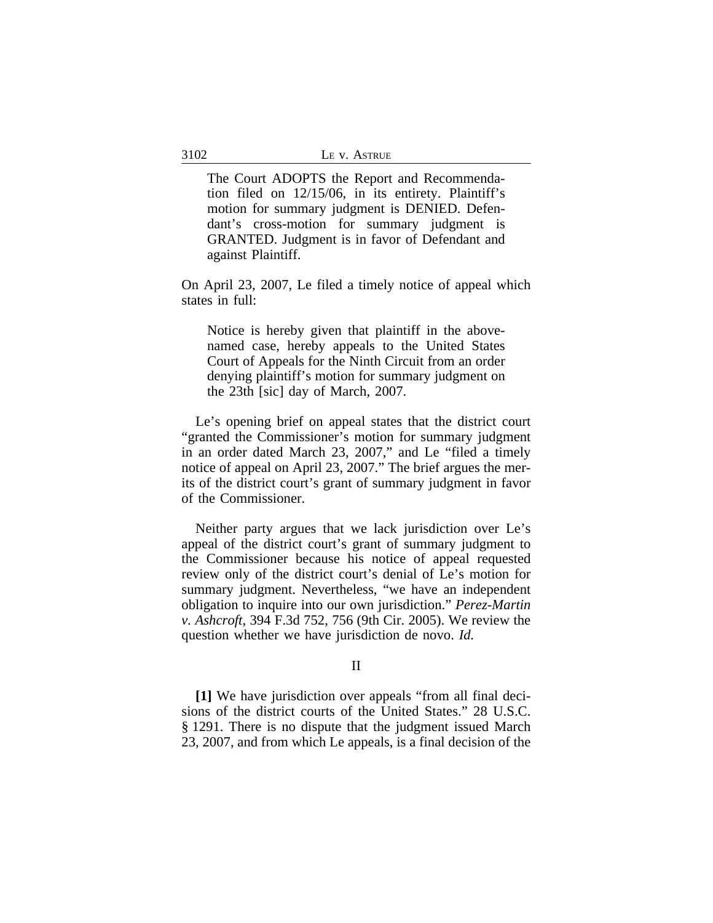The Court ADOPTS the Report and Recommendation filed on 12/15/06, in its entirety. Plaintiff's motion for summary judgment is DENIED. Defendant's cross-motion for summary judgment is GRANTED. Judgment is in favor of Defendant and against Plaintiff.

On April 23, 2007, Le filed a timely notice of appeal which states in full:

Notice is hereby given that plaintiff in the abovenamed case, hereby appeals to the United States Court of Appeals for the Ninth Circuit from an order denying plaintiff's motion for summary judgment on the 23th [sic] day of March, 2007.

Le's opening brief on appeal states that the district court "granted the Commissioner's motion for summary judgment in an order dated March 23, 2007," and Le "filed a timely notice of appeal on April 23, 2007." The brief argues the merits of the district court's grant of summary judgment in favor of the Commissioner.

Neither party argues that we lack jurisdiction over Le's appeal of the district court's grant of summary judgment to the Commissioner because his notice of appeal requested review only of the district court's denial of Le's motion for summary judgment. Nevertheless, "we have an independent obligation to inquire into our own jurisdiction." *Perez-Martin v. Ashcroft*, 394 F.3d 752, 756 (9th Cir. 2005). We review the question whether we have jurisdiction de novo. *Id.* 

## II

**[1]** We have jurisdiction over appeals "from all final decisions of the district courts of the United States." 28 U.S.C. § 1291. There is no dispute that the judgment issued March 23, 2007, and from which Le appeals, is a final decision of the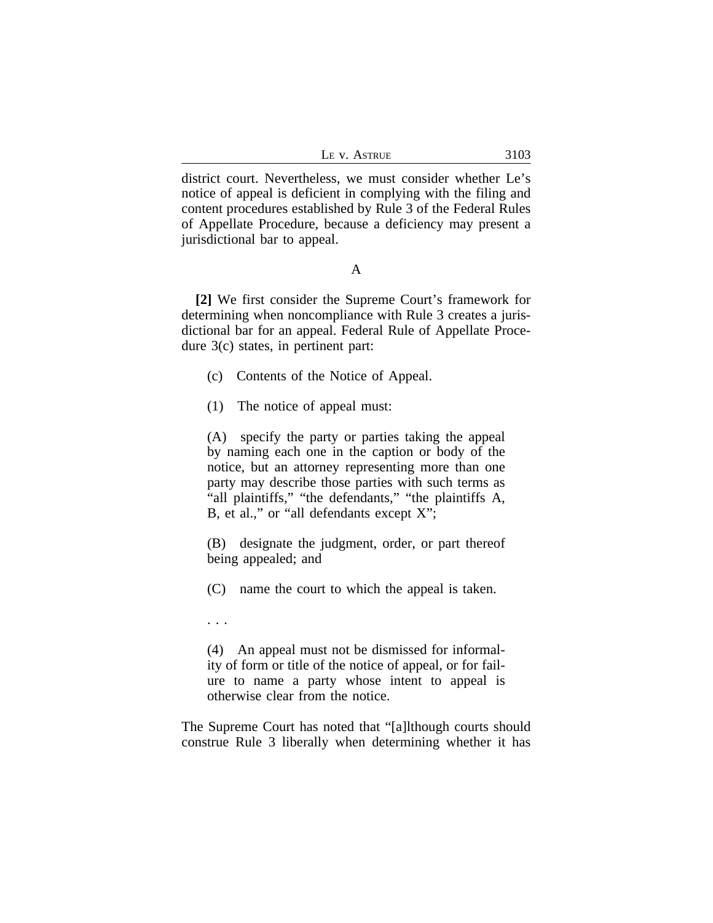|  |  | ASTRUE |  |
|--|--|--------|--|
|--|--|--------|--|

district court. Nevertheless, we must consider whether Le's notice of appeal is deficient in complying with the filing and content procedures established by Rule 3 of the Federal Rules of Appellate Procedure, because a deficiency may present a jurisdictional bar to appeal.

### A

**[2]** We first consider the Supreme Court's framework for determining when noncompliance with Rule 3 creates a jurisdictional bar for an appeal. Federal Rule of Appellate Procedure 3(c) states, in pertinent part:

- (c) Contents of the Notice of Appeal.
- (1) The notice of appeal must:

(A) specify the party or parties taking the appeal by naming each one in the caption or body of the notice, but an attorney representing more than one party may describe those parties with such terms as "all plaintiffs," "the defendants," "the plaintiffs A, B, et al.," or "all defendants except X";

(B) designate the judgment, order, or part thereof being appealed; and

(C) name the court to which the appeal is taken.

. . .

(4) An appeal must not be dismissed for informality of form or title of the notice of appeal, or for failure to name a party whose intent to appeal is otherwise clear from the notice.

The Supreme Court has noted that "[a]lthough courts should construe Rule 3 liberally when determining whether it has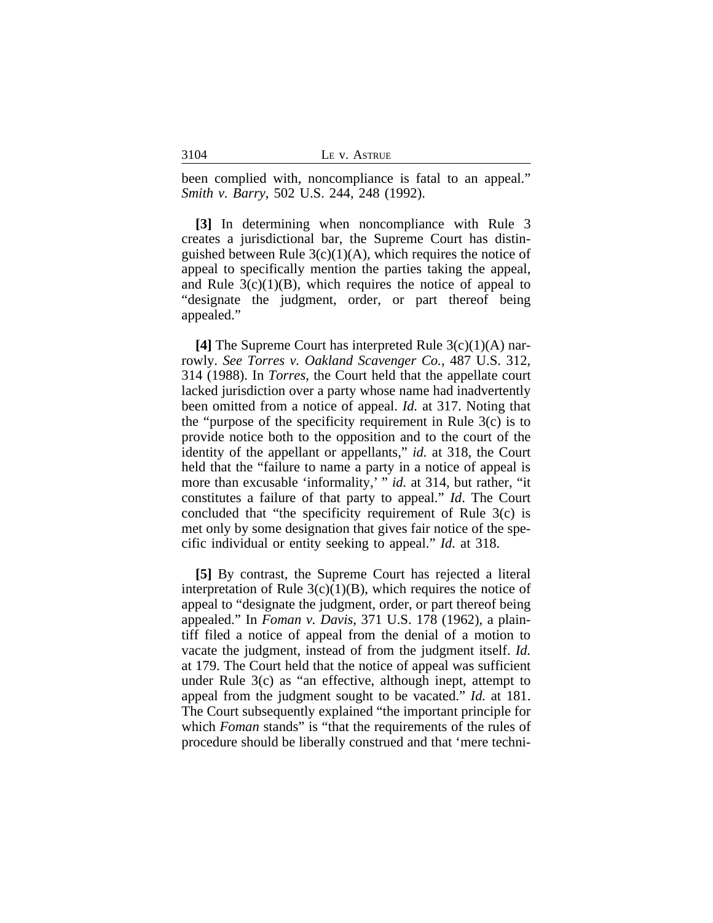|  |  | <b>ASTRUE</b> |
|--|--|---------------|
|--|--|---------------|

been complied with, noncompliance is fatal to an appeal." *Smith v. Barry*, 502 U.S. 244, 248 (1992).

**[3]** In determining when noncompliance with Rule 3 creates a jurisdictional bar, the Supreme Court has distinguished between Rule  $3(c)(1)(A)$ , which requires the notice of appeal to specifically mention the parties taking the appeal, and Rule  $3(c)(1)(B)$ , which requires the notice of appeal to "designate the judgment, order, or part thereof being appealed."

**[4]** The Supreme Court has interpreted Rule 3(c)(1)(A) narrowly. *See Torres v. Oakland Scavenger Co.*, 487 U.S. 312, 314 (1988). In *Torres*, the Court held that the appellate court lacked jurisdiction over a party whose name had inadvertently been omitted from a notice of appeal. *Id.* at 317. Noting that the "purpose of the specificity requirement in Rule  $3(c)$  is to provide notice both to the opposition and to the court of the identity of the appellant or appellants," *id.* at 318, the Court held that the "failure to name a party in a notice of appeal is more than excusable 'informality,' " *id.* at 314, but rather, "it constitutes a failure of that party to appeal." *Id*. The Court concluded that "the specificity requirement of Rule 3(c) is met only by some designation that gives fair notice of the specific individual or entity seeking to appeal." *Id.* at 318.

**[5]** By contrast, the Supreme Court has rejected a literal interpretation of Rule  $3(c)(1)(B)$ , which requires the notice of appeal to "designate the judgment, order, or part thereof being appealed." In *Foman v. Davis*, 371 U.S. 178 (1962), a plaintiff filed a notice of appeal from the denial of a motion to vacate the judgment, instead of from the judgment itself. *Id.* at 179. The Court held that the notice of appeal was sufficient under Rule 3(c) as "an effective, although inept, attempt to appeal from the judgment sought to be vacated." *Id.* at 181. The Court subsequently explained "the important principle for which *Foman* stands" is "that the requirements of the rules of procedure should be liberally construed and that 'mere techni-

3104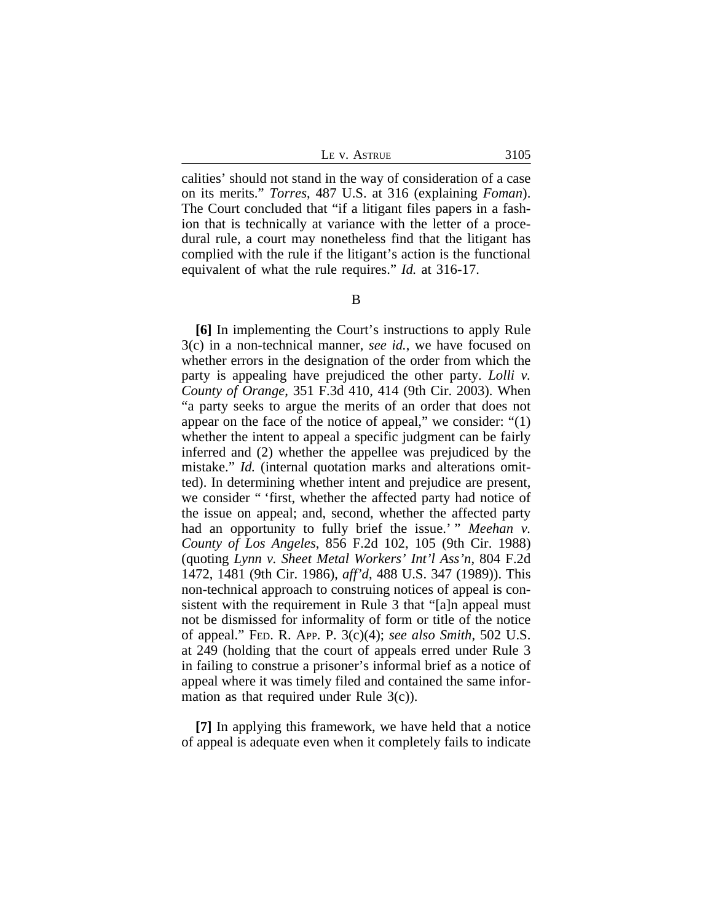LE V. ASTRUE 3105

calities' should not stand in the way of consideration of a case on its merits." *Torres*, 487 U.S. at 316 (explaining *Foman*). The Court concluded that "if a litigant files papers in a fashion that is technically at variance with the letter of a procedural rule, a court may nonetheless find that the litigant has complied with the rule if the litigant's action is the functional equivalent of what the rule requires." *Id.* at 316-17.

**[6]** In implementing the Court's instructions to apply Rule 3(c) in a non-technical manner, *see id.*, we have focused on whether errors in the designation of the order from which the party is appealing have prejudiced the other party. *Lolli v. County of Orange*, 351 F.3d 410, 414 (9th Cir. 2003). When "a party seeks to argue the merits of an order that does not appear on the face of the notice of appeal," we consider: "(1) whether the intent to appeal a specific judgment can be fairly inferred and (2) whether the appellee was prejudiced by the mistake." *Id.* (internal quotation marks and alterations omitted). In determining whether intent and prejudice are present, we consider " 'first, whether the affected party had notice of the issue on appeal; and, second, whether the affected party had an opportunity to fully brief the issue.' " *Meehan v. County of Los Angeles*, 856 F.2d 102, 105 (9th Cir. 1988) (quoting *Lynn v. Sheet Metal Workers' Int'l Ass'n*, 804 F.2d 1472, 1481 (9th Cir. 1986), *aff'd*, 488 U.S. 347 (1989)). This non-technical approach to construing notices of appeal is consistent with the requirement in Rule 3 that "[a]n appeal must not be dismissed for informality of form or title of the notice of appeal." FED. R. APP. P. 3(c)(4); *see also Smith*, 502 U.S. at 249 (holding that the court of appeals erred under Rule 3 in failing to construe a prisoner's informal brief as a notice of appeal where it was timely filed and contained the same information as that required under Rule 3(c)).

**[7]** In applying this framework, we have held that a notice of appeal is adequate even when it completely fails to indicate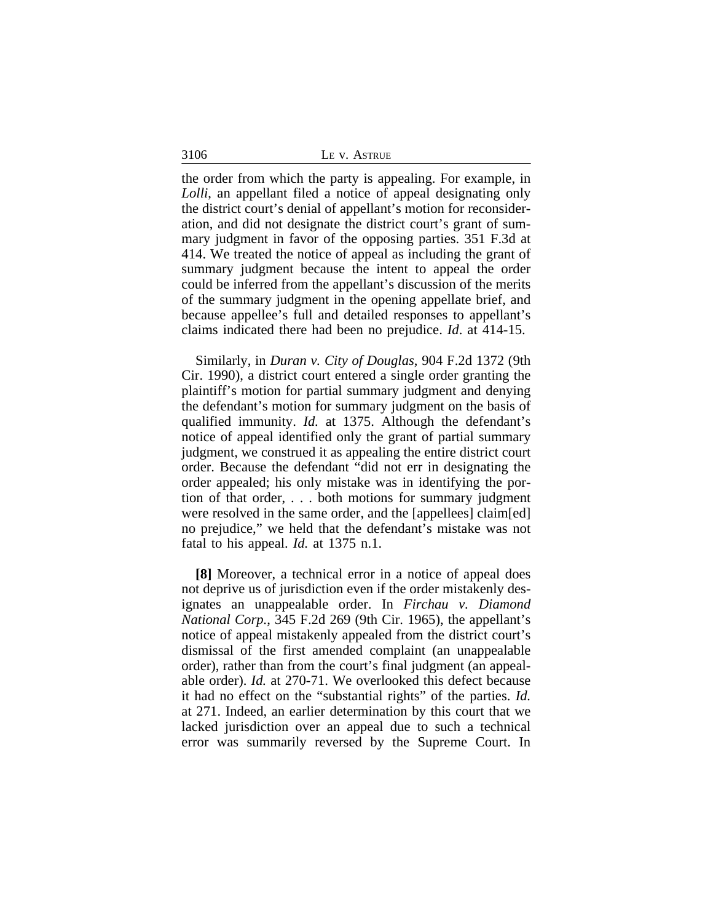the order from which the party is appealing. For example, in *Lolli*, an appellant filed a notice of appeal designating only the district court's denial of appellant's motion for reconsideration, and did not designate the district court's grant of summary judgment in favor of the opposing parties. 351 F.3d at 414. We treated the notice of appeal as including the grant of summary judgment because the intent to appeal the order could be inferred from the appellant's discussion of the merits of the summary judgment in the opening appellate brief, and because appellee's full and detailed responses to appellant's claims indicated there had been no prejudice. *Id*. at 414-15.

Similarly, in *Duran v. City of Douglas*, 904 F.2d 1372 (9th Cir. 1990), a district court entered a single order granting the plaintiff's motion for partial summary judgment and denying the defendant's motion for summary judgment on the basis of qualified immunity. *Id.* at 1375. Although the defendant's notice of appeal identified only the grant of partial summary judgment, we construed it as appealing the entire district court order. Because the defendant "did not err in designating the order appealed; his only mistake was in identifying the portion of that order, . . . both motions for summary judgment were resolved in the same order, and the [appellees] claim[ed] no prejudice," we held that the defendant's mistake was not fatal to his appeal. *Id.* at 1375 n.1.

**[8]** Moreover, a technical error in a notice of appeal does not deprive us of jurisdiction even if the order mistakenly designates an unappealable order. In *Firchau v. Diamond National Corp.*, 345 F.2d 269 (9th Cir. 1965), the appellant's notice of appeal mistakenly appealed from the district court's dismissal of the first amended complaint (an unappealable order), rather than from the court's final judgment (an appealable order). *Id.* at 270-71. We overlooked this defect because it had no effect on the "substantial rights" of the parties. *Id.* at 271. Indeed, an earlier determination by this court that we lacked jurisdiction over an appeal due to such a technical error was summarily reversed by the Supreme Court. In

3106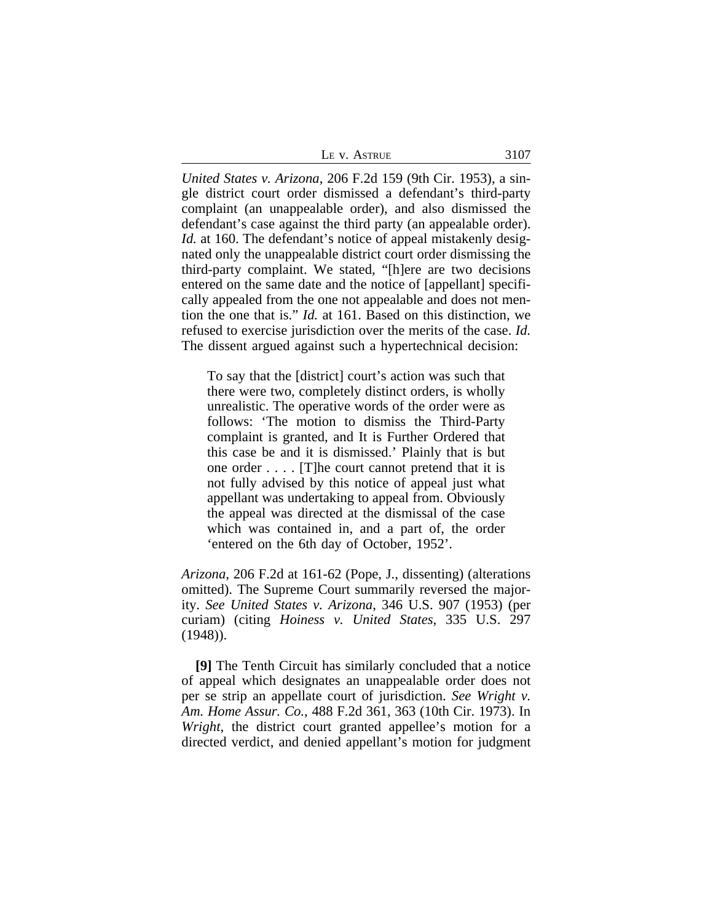| <b>ASTRUE</b><br>V<br>LE |  |
|--------------------------|--|
|--------------------------|--|

*United States v. Arizona*, 206 F.2d 159 (9th Cir. 1953), a single district court order dismissed a defendant's third-party complaint (an unappealable order), and also dismissed the defendant's case against the third party (an appealable order). *Id.* at 160. The defendant's notice of appeal mistakenly designated only the unappealable district court order dismissing the third-party complaint. We stated, "[h]ere are two decisions entered on the same date and the notice of [appellant] specifically appealed from the one not appealable and does not mention the one that is." *Id.* at 161. Based on this distinction, we refused to exercise jurisdiction over the merits of the case. *Id.* The dissent argued against such a hypertechnical decision:

To say that the [district] court's action was such that there were two, completely distinct orders, is wholly unrealistic. The operative words of the order were as follows: 'The motion to dismiss the Third-Party complaint is granted, and It is Further Ordered that this case be and it is dismissed.' Plainly that is but one order . . . . [T]he court cannot pretend that it is not fully advised by this notice of appeal just what appellant was undertaking to appeal from. Obviously the appeal was directed at the dismissal of the case which was contained in, and a part of, the order 'entered on the 6th day of October, 1952'.

*Arizona*, 206 F.2d at 161-62 (Pope, J., dissenting) (alterations omitted). The Supreme Court summarily reversed the majority. *See United States v. Arizona*, 346 U.S. 907 (1953) (per curiam) (citing *Hoiness v. United States*, 335 U.S. 297 (1948)).

**[9]** The Tenth Circuit has similarly concluded that a notice of appeal which designates an unappealable order does not per se strip an appellate court of jurisdiction. *See Wright v. Am. Home Assur. Co.*, 488 F.2d 361, 363 (10th Cir. 1973). In *Wright*, the district court granted appellee's motion for a directed verdict, and denied appellant's motion for judgment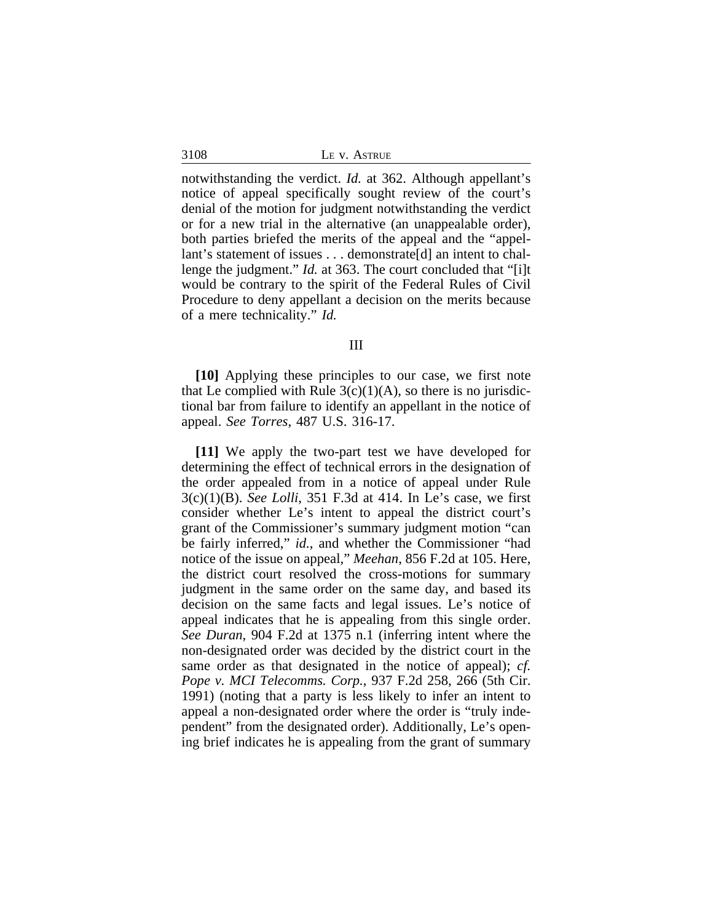|  |  | ASTRUE |
|--|--|--------|
|--|--|--------|

notwithstanding the verdict. *Id.* at 362. Although appellant's notice of appeal specifically sought review of the court's denial of the motion for judgment notwithstanding the verdict or for a new trial in the alternative (an unappealable order), both parties briefed the merits of the appeal and the "appellant's statement of issues . . . demonstrate[d] an intent to challenge the judgment." *Id.* at 363. The court concluded that "[i]t would be contrary to the spirit of the Federal Rules of Civil Procedure to deny appellant a decision on the merits because of a mere technicality." *Id.*

### III

**[10]** Applying these principles to our case, we first note that Le complied with Rule  $3(c)(1)(A)$ , so there is no jurisdictional bar from failure to identify an appellant in the notice of appeal. *See Torres*, 487 U.S. 316-17.

**[11]** We apply the two-part test we have developed for determining the effect of technical errors in the designation of the order appealed from in a notice of appeal under Rule 3(c)(1)(B). *See Lolli*, 351 F.3d at 414. In Le's case, we first consider whether Le's intent to appeal the district court's grant of the Commissioner's summary judgment motion "can be fairly inferred," *id.*, and whether the Commissioner "had notice of the issue on appeal," *Meehan*, 856 F.2d at 105. Here, the district court resolved the cross-motions for summary judgment in the same order on the same day, and based its decision on the same facts and legal issues. Le's notice of appeal indicates that he is appealing from this single order. *See Duran*, 904 F.2d at 1375 n.1 (inferring intent where the non-designated order was decided by the district court in the same order as that designated in the notice of appeal); *cf. Pope v. MCI Telecomms. Corp.*, 937 F.2d 258, 266 (5th Cir. 1991) (noting that a party is less likely to infer an intent to appeal a non-designated order where the order is "truly independent" from the designated order). Additionally, Le's opening brief indicates he is appealing from the grant of summary

3108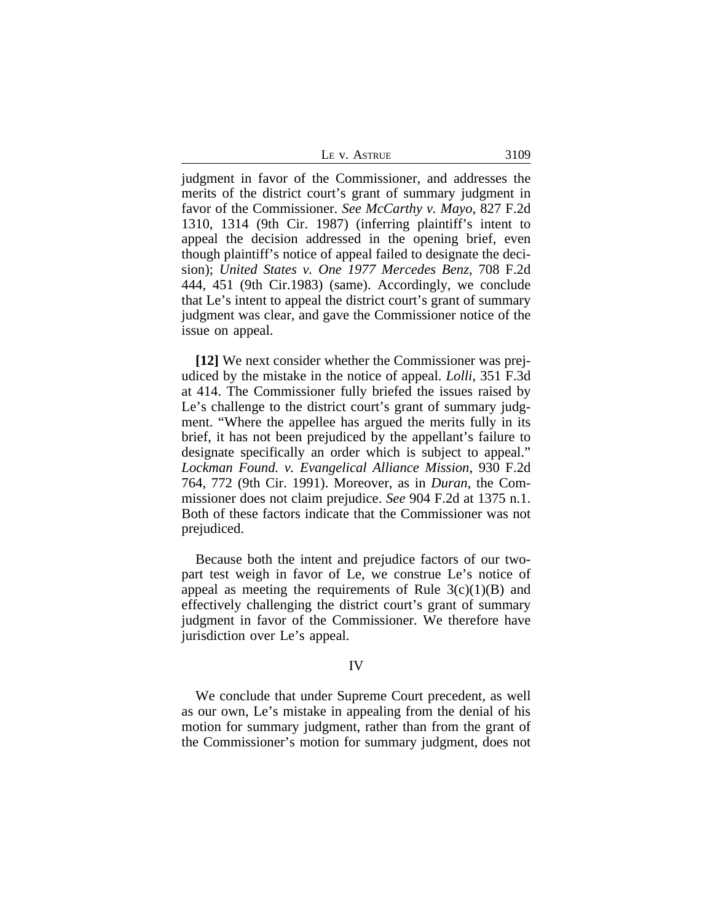|  | Le v. Astrue | 3109 |
|--|--------------|------|
|  |              |      |

judgment in favor of the Commissioner, and addresses the merits of the district court's grant of summary judgment in favor of the Commissioner. *See McCarthy v. Mayo*, 827 F.2d 1310, 1314 (9th Cir. 1987) (inferring plaintiff's intent to appeal the decision addressed in the opening brief, even though plaintiff's notice of appeal failed to designate the decision); *United States v. One 1977 Mercedes Benz*, 708 F.2d 444, 451 (9th Cir.1983) (same). Accordingly, we conclude that Le's intent to appeal the district court's grant of summary judgment was clear, and gave the Commissioner notice of the issue on appeal.

**[12]** We next consider whether the Commissioner was prejudiced by the mistake in the notice of appeal. *Lolli*, 351 F.3d at 414. The Commissioner fully briefed the issues raised by Le's challenge to the district court's grant of summary judgment. "Where the appellee has argued the merits fully in its brief, it has not been prejudiced by the appellant's failure to designate specifically an order which is subject to appeal." *Lockman Found. v. Evangelical Alliance Mission*, 930 F.2d 764, 772 (9th Cir. 1991). Moreover, as in *Duran*, the Commissioner does not claim prejudice. *See* 904 F.2d at 1375 n.1. Both of these factors indicate that the Commissioner was not prejudiced.

Because both the intent and prejudice factors of our twopart test weigh in favor of Le, we construe Le's notice of appeal as meeting the requirements of Rule  $3(c)(1)(B)$  and effectively challenging the district court's grant of summary judgment in favor of the Commissioner. We therefore have jurisdiction over Le's appeal.

## IV

We conclude that under Supreme Court precedent, as well as our own, Le's mistake in appealing from the denial of his motion for summary judgment, rather than from the grant of the Commissioner's motion for summary judgment, does not